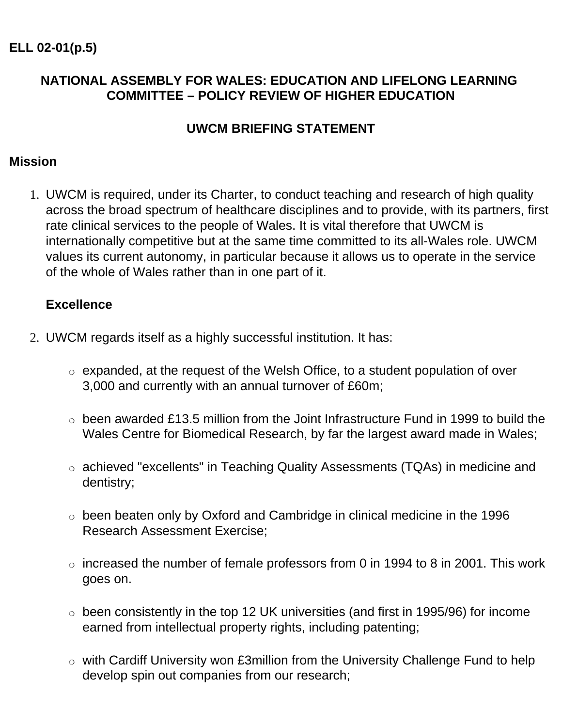### **NATIONAL ASSEMBLY FOR WALES: EDUCATION AND LIFELONG LEARNING COMMITTEE – POLICY REVIEW OF HIGHER EDUCATION**

### **UWCM BRIEFING STATEMENT**

#### **Mission**

1. UWCM is required, under its Charter, to conduct teaching and research of high quality across the broad spectrum of healthcare disciplines and to provide, with its partners, first rate clinical services to the people of Wales. It is vital therefore that UWCM is internationally competitive but at the same time committed to its all-Wales role. UWCM values its current autonomy, in particular because it allows us to operate in the service of the whole of Wales rather than in one part of it.

#### **Excellence**

- 2. UWCM regards itself as a highly successful institution. It has:
	- $\circ$  expanded, at the request of the Welsh Office, to a student population of over 3,000 and currently with an annual turnover of £60m;
	- $\circ$  been awarded £13.5 million from the Joint Infrastructure Fund in 1999 to build the Wales Centre for Biomedical Research, by far the largest award made in Wales;
	- ❍ achieved "excellents" in Teaching Quality Assessments (TQAs) in medicine and dentistry;
	- ❍ been beaten only by Oxford and Cambridge in clinical medicine in the 1996 Research Assessment Exercise;
	- $\circ$  increased the number of female professors from 0 in 1994 to 8 in 2001. This work goes on.
	- $\circ$  been consistently in the top 12 UK universities (and first in 1995/96) for income earned from intellectual property rights, including patenting;
	- ❍ with Cardiff University won £3million from the University Challenge Fund to help develop spin out companies from our research;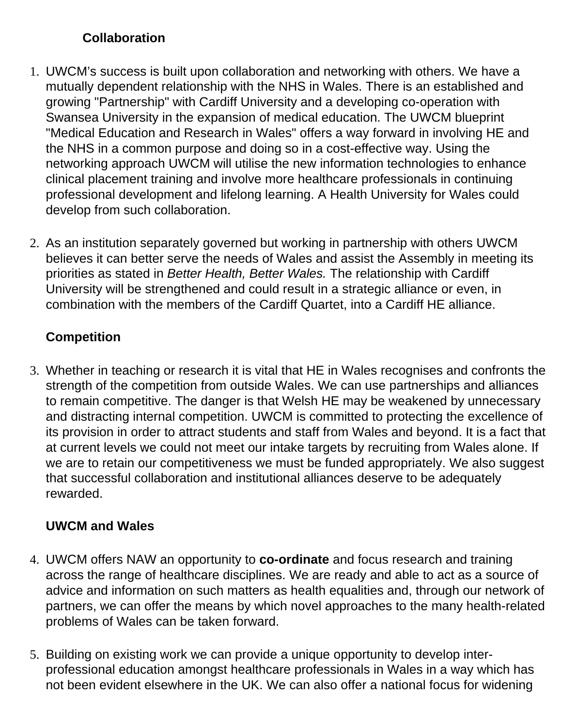## **Collaboration**

- 1. UWCM's success is built upon collaboration and networking with others. We have a mutually dependent relationship with the NHS in Wales. There is an established and growing "Partnership" with Cardiff University and a developing co-operation with Swansea University in the expansion of medical education. The UWCM blueprint "Medical Education and Research in Wales" offers a way forward in involving HE and the NHS in a common purpose and doing so in a cost-effective way. Using the networking approach UWCM will utilise the new information technologies to enhance clinical placement training and involve more healthcare professionals in continuing professional development and lifelong learning. A Health University for Wales could develop from such collaboration.
- 2. As an institution separately governed but working in partnership with others UWCM believes it can better serve the needs of Wales and assist the Assembly in meeting its priorities as stated in *Better Health, Better Wales.* The relationship with Cardiff University will be strengthened and could result in a strategic alliance or even, in combination with the members of the Cardiff Quartet, into a Cardiff HE alliance.

# **Competition**

3. Whether in teaching or research it is vital that HE in Wales recognises and confronts the strength of the competition from outside Wales. We can use partnerships and alliances to remain competitive. The danger is that Welsh HE may be weakened by unnecessary and distracting internal competition. UWCM is committed to protecting the excellence of its provision in order to attract students and staff from Wales and beyond. It is a fact that at current levels we could not meet our intake targets by recruiting from Wales alone. If we are to retain our competitiveness we must be funded appropriately. We also suggest that successful collaboration and institutional alliances deserve to be adequately rewarded.

# **UWCM and Wales**

- 4. UWCM offers NAW an opportunity to **co-ordinate** and focus research and training across the range of healthcare disciplines. We are ready and able to act as a source of advice and information on such matters as health equalities and, through our network of partners, we can offer the means by which novel approaches to the many health-related problems of Wales can be taken forward.
- 5. Building on existing work we can provide a unique opportunity to develop interprofessional education amongst healthcare professionals in Wales in a way which has not been evident elsewhere in the UK. We can also offer a national focus for widening